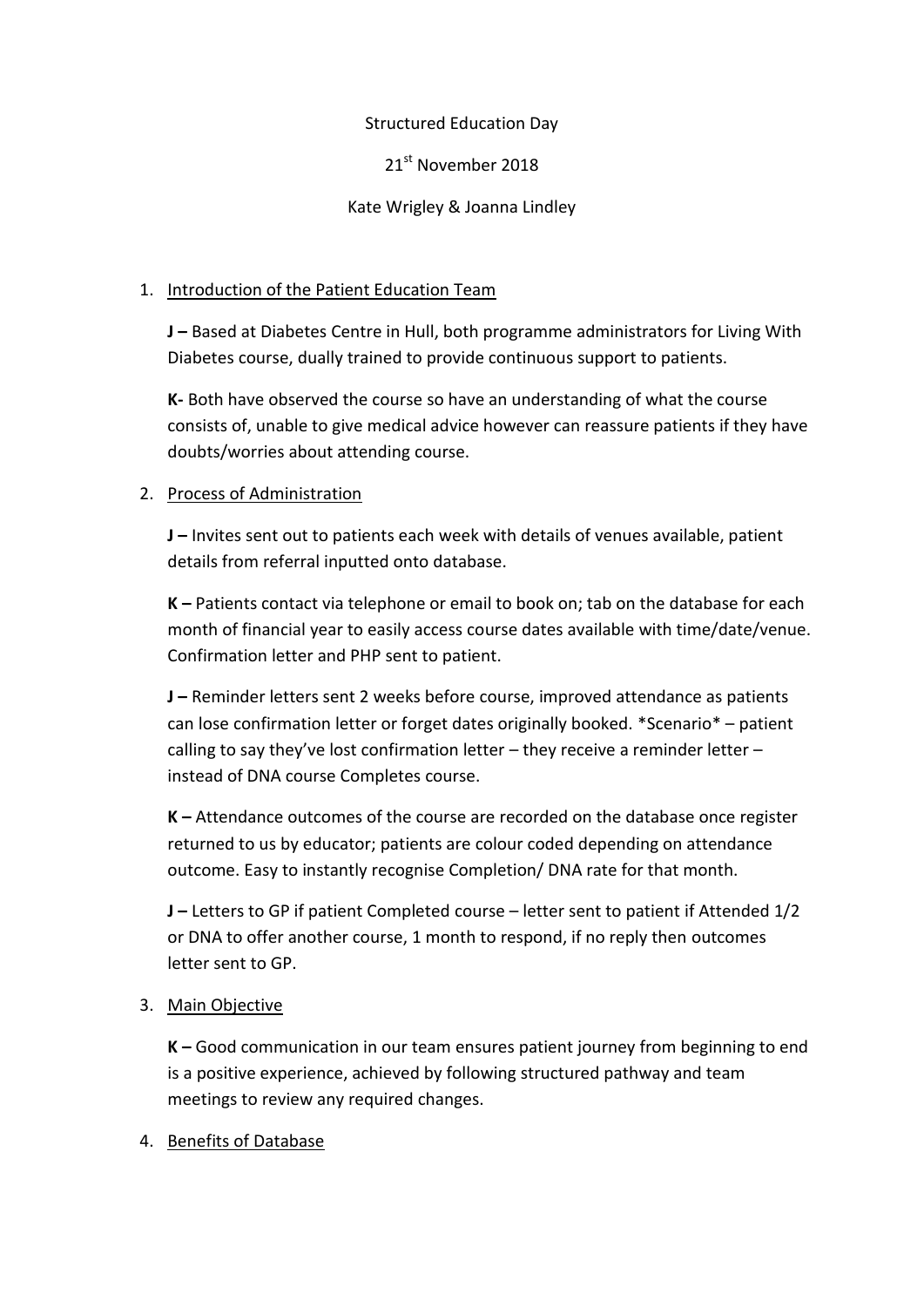### Structured Education Day

21<sup>st</sup> November 2018

Kate Wrigley & Joanna Lindley

## 1. Introduction of the Patient Education Team

**J –** Based at Diabetes Centre in Hull, both programme administrators for Living With Diabetes course, dually trained to provide continuous support to patients.

**K-** Both have observed the course so have an understanding of what the course consists of, unable to give medical advice however can reassure patients if they have doubts/worries about attending course.

### 2. Process of Administration

**J –** Invites sent out to patients each week with details of venues available, patient details from referral inputted onto database.

**K –** Patients contact via telephone or email to book on; tab on the database for each month of financial year to easily access course dates available with time/date/venue. Confirmation letter and PHP sent to patient.

**J –** Reminder letters sent 2 weeks before course, improved attendance as patients can lose confirmation letter or forget dates originally booked. \*Scenario\* – patient calling to say they've lost confirmation letter – they receive a reminder letter – instead of DNA course Completes course.

**K –** Attendance outcomes of the course are recorded on the database once register returned to us by educator; patients are colour coded depending on attendance outcome. Easy to instantly recognise Completion/ DNA rate for that month.

**J –** Letters to GP if patient Completed course – letter sent to patient if Attended 1/2 or DNA to offer another course, 1 month to respond, if no reply then outcomes letter sent to GP.

# 3. Main Objective

**K –** Good communication in our team ensures patient journey from beginning to end is a positive experience, achieved by following structured pathway and team meetings to review any required changes.

### 4. Benefits of Database